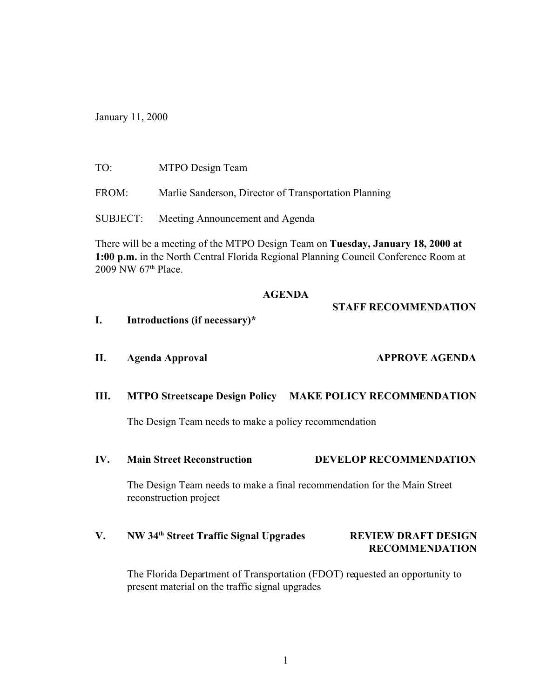January 11, 2000

| TO: | MTPO Design Team |
|-----|------------------|
|-----|------------------|

FROM: Marlie Sanderson, Director of Transportation Planning

SUBJECT: Meeting Announcement and Agenda

There will be a meeting of the MTPO Design Team on **Tuesday, January 18, 2000 at 1:00 p.m.** in the North Central Florida Regional Planning Council Conference Room at 2009 NW 67th Place.

### **AGENDA**

**STAFF RECOMMENDATION**

- **I. Introductions (if necessary)\***
- **II. Agenda Approval APPROVE AGENDA**

## **III. MTPO Streetscape Design Policy MAKE POLICY RECOMMENDATION**

The Design Team needs to make a policy recommendation

**IV. Main Street Reconstruction DEVELOP RECOMMENDATION**

The Design Team needs to make a final recommendation for the Main Street reconstruction project

# **V. NW 34th Street Traffic Signal Upgrades REVIEW DRAFT DESIGN RECOMMENDATION**

The Florida Department of Transportation (FDOT) requested an opportunity to present material on the traffic signal upgrades